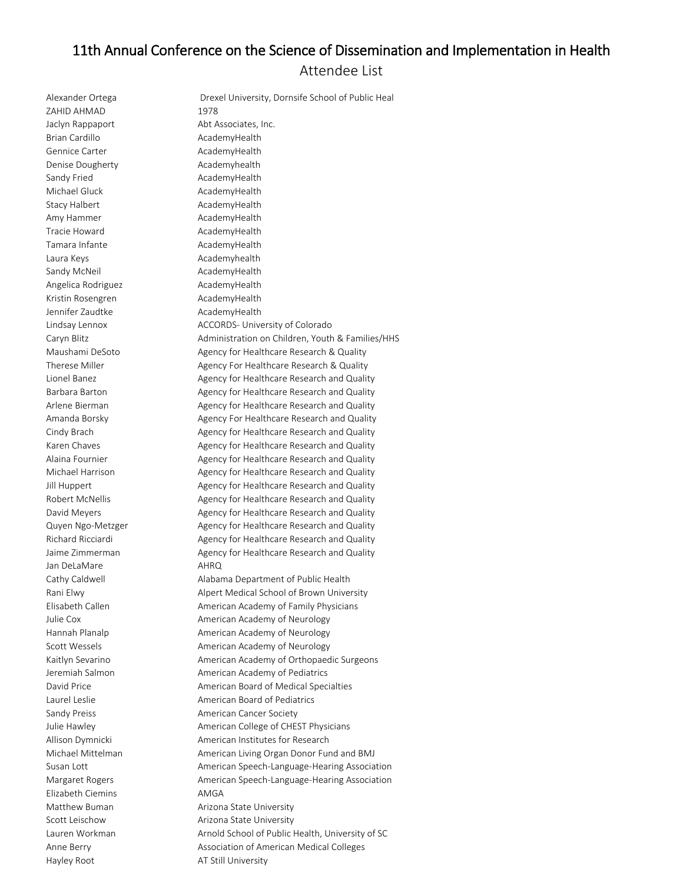## 11th Annual Conference on the Science of Dissemination and Implementation in Health Attendee List

ZAHID AHMAD 1978 Brian Cardillo **AcademyHealth** Gennice Carter **AcademyHealth** Denise Dougherty **Academyhealth** Sandy Fried **AcademyHealth** Michael Gluck **AcademyHealth** Stacy Halbert **AcademyHealth** Amy Hammer **AcademyHealth** Tracie Howard **AcademyHealth** Tamara Infante **AcademyHealth** Laura Keys **Academyhealth** Sandy McNeil **AcademyHealth** Angelica Rodriguez **AcademyHealth** Kristin Rosengren AcademyHealth Jennifer Zaudtke AcademyHealth Jan DeLaMare **AHRQ** Elizabeth Ciemins AMGA

Alexander Ortega **Drexel University, Dornsife School of Public Heal** Jaclyn Rappaport Abt Associates, Inc. Lindsay Lennox ACCORDS- University of Colorado Caryn Blitz Administration on Children, Youth & Families/HHS Maushami DeSoto Agency for Healthcare Research & Quality Therese Miller **Agency For Healthcare Research & Quality** Agency For Healthcare Research & Quality Lionel Banez **Agency for Healthcare Research and Quality** Lionel Banez Barbara Barton **Agency for Healthcare Research and Quality** Arlene Bierman **Agency for Healthcare Research and Quality** Arlene Bierman Amanda Borsky **Agency For Healthcare Research and Quality** Amanda Borsky Cindy Brach **Agency for Healthcare Research and Quality** Agency for Healthcare Research and Quality Karen Chaves **Agency for Healthcare Research and Quality** Agency for Healthcare Research and Quality Alaina Fournier **Agency for Healthcare Research and Quality** Alaina Fournier Michael Harrison **Agency for Healthcare Research and Quality** Jill Huppert **Agency for Healthcare Research and Quality** Agency for Healthcare Research and Quality Robert McNellis **Agency for Healthcare Research and Quality** Robert McNellis David Meyers **Agency for Healthcare Research and Quality** David Meyers Quyen Ngo-Metzger Agency for Healthcare Research and Quality Richard Ricciardi **Agency for Healthcare Research and Quality** Agency for Healthcare Research and Quality Jaime Zimmerman **Agency for Healthcare Research and Quality** Cathy Caldwell **Alabama Department of Public Health** Rani Elwy **Alpert Medical School of Brown University** Elisabeth Callen **American Academy of Family Physicians** Julie Cox **American Academy of Neurology** Hannah Planalp **American Academy of Neurology** Scott Wessels **American Academy of Neurology** Kaitlyn Sevarino **American Academy of Orthopaedic Surgeons** Jeremiah Salmon **American Academy of Pediatrics** David Price **American Board of Medical Specialties** Laurel Leslie **American Board of Pediatrics** Sandy Preiss **American Cancer Society** Julie Hawley **American College of CHEST Physicians** Allison Dymnicki **American Institutes for Research** Michael Mittelman Michael Mittelman American Living Organ Donor Fund and BMJ Susan Lott **American Speech-Language-Hearing Association** American Speech-Language-Hearing Association Margaret Rogers American Speech-Language-Hearing Association Matthew Buman **Arizona State University** Scott Leischow **Arizona State University** Lauren Workman Muslem Arnold School of Public Health, University of SC Anne Berry **All Association of American Medical Colleges** Anne Berry Hayley Root **AT Still University**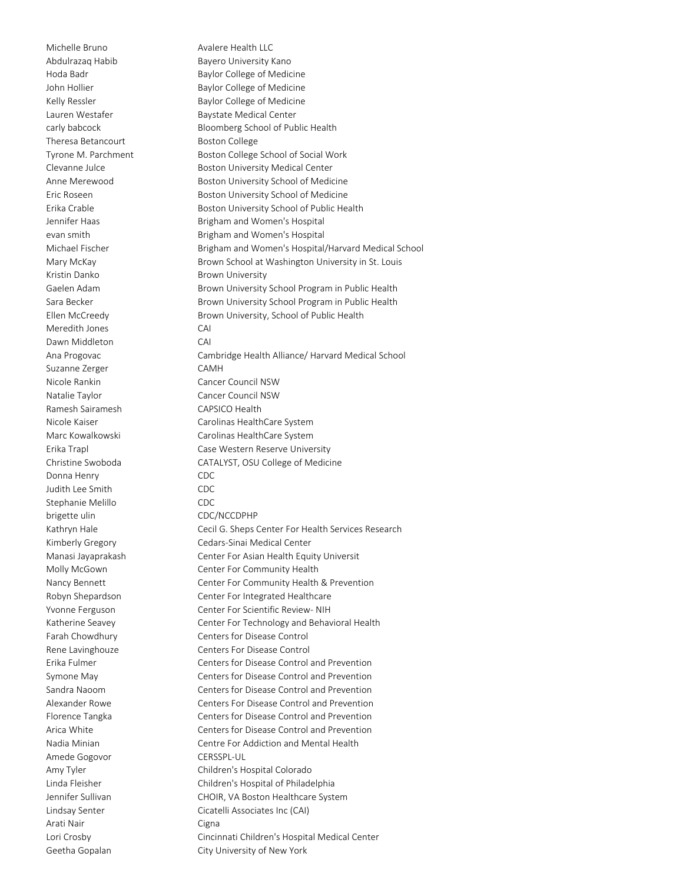Theresa Betancourt Boston College Kristin Danko **Brown University** Meredith Jones CAI Dawn Middleton CAI Suzanne Zerger CAMH Nicole Rankin Cancer Council NSW Natalie Taylor Cancer Council NSW Ramesh Sairamesh CAPSICO Health Donna Henry **CDC** Judith Lee Smith CDC Stephanie Melillo CDC brigette ulin CDC/NCCDPHP Amede Gogovor CERSSPL-UL Arati Nair **Cigna** 

Michelle Bruno **Avalere Health LLC** Abdulrazaq Habib Bayero University Kano Hoda Badr **Baylor College of Medicine** John Hollier **Baylor College of Medicine** Kelly Ressler **Baylor College of Medicine** Lauren Westafer **Baystate Medical Center** carly babcock Bloomberg School of Public Health Tyrone M. Parchment Boston College School of Social Work Clevanne Julce **Boston University Medical Center** Anne Merewood Boston University School of Medicine Eric Roseen **Boston University School of Medicine** Erika Crable **Boston University School of Public Health** Jennifer Haas **Brigham and Women's Hospital** evan smith **Brigham and Women's Hospital** Michael Fischer **Brigham and Women's Hospital/Harvard Medical School** Mary McKay **Brown School at Washington University in St. Louis** Gaelen Adam Brown University School Program in Public Health Sara Becker **Brown University School Program in Public Health** Brown University School Program in Public Health Ellen McCreedy Brown University, School of Public Health Ana Progovac Cambridge Health Alliance/ Harvard Medical School Nicole Kaiser **Carolinas HealthCare System** Marc Kowalkowski Carolinas HealthCare System Erika Trapl Case Western Reserve University Christine Swoboda CATALYST, OSU College of Medicine Kathryn Hale **Cecil G. Sheps Center For Health Services Research** Kimberly Gregory Cedars-Sinai Medical Center Manasi Jayaprakash Center For Asian Health Equity Universit Molly McGown Center For Community Health Nancy Bennett Center For Community Health & Prevention Robyn Shepardson Center For Integrated Healthcare Yvonne Ferguson Center For Scientific Review- NIH Katherine Seavey **Center For Technology and Behavioral Health** Farah Chowdhury Centers for Disease Control Rene Lavinghouze **Centers For Disease Control** Erika Fulmer Centers for Disease Control and Prevention Symone May Centers for Disease Control and Prevention Sandra Naoom Centers for Disease Control and Prevention Alexander Rowe Centers For Disease Control and Prevention Florence Tangka Centers for Disease Control and Prevention Arica White Centers for Disease Control and Prevention Nadia Minian Centre For Addiction and Mental Health Amy Tyler Children's Hospital Colorado Linda Fleisher Children's Hospital of Philadelphia Jennifer Sullivan CHOIR, VA Boston Healthcare System Lindsay Senter Cicatelli Associates Inc (CAI) Lori Crosby Cincinnati Children's Hospital Medical Center Geetha Gopalan City University of New York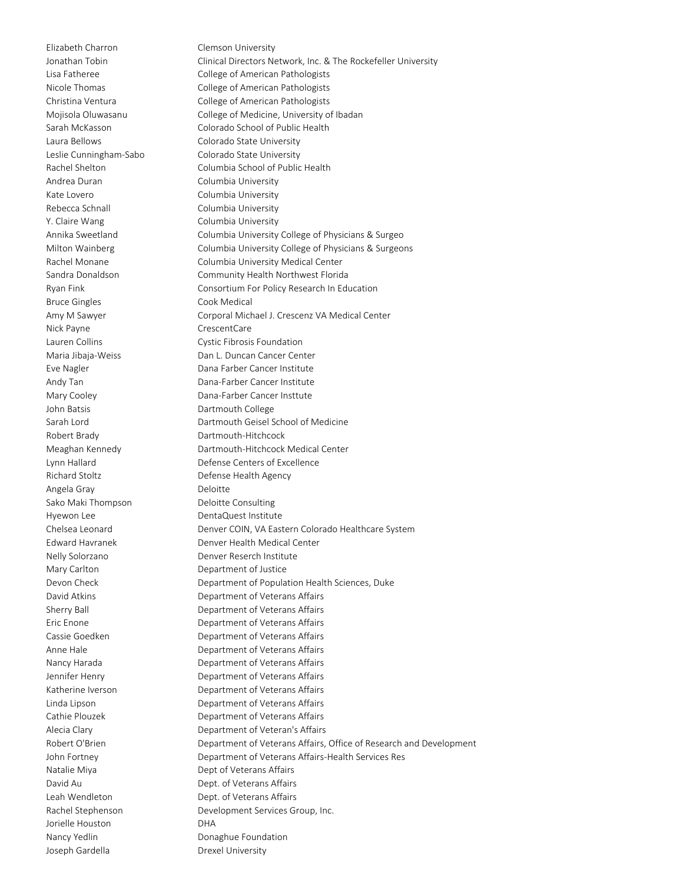Elizabeth Charron Clemson University Andrea Duran Columbia University Kate Lovero **Columbia University** Rebecca Schnall **Columbia University** Y. Claire Wang Columbia University Bruce Gingles **Cook Medical** Nick Payne **CrescentCare** John Batsis **Dartmouth College** Robert Brady **Dartmouth-Hitchcock** Angela Gray **Deloitte** Sako Maki Thompson Deloitte Consulting Hyewon Lee **DentaQuest Institute** Mary Carlton **Department of Justice** Jorielle Houston DHA Nancy Yedlin **Donaghue Foundation** Joseph Gardella **Drexel University** 

Jonathan Tobin Clinical Directors Network, Inc. & The Rockefeller University Lisa Fatheree College of American Pathologists Nicole Thomas College of American Pathologists Christina Ventura College of American Pathologists Mojisola Oluwasanu College of Medicine, University of Ibadan Sarah McKasson Colorado School of Public Health Laura Bellows Colorado State University Leslie Cunningham-Sabo Colorado State University Rachel Shelton Columbia School of Public Health Annika Sweetland Columbia University College of Physicians & Surgeo Milton Wainberg Columbia University College of Physicians & Surgeons Rachel Monane Columbia University Medical Center Sandra Donaldson Community Health Northwest Florida Ryan Fink **Consortium For Policy Research In Education** Amy M Sawyer Corporal Michael J. Crescenz VA Medical Center Lauren Collins Cystic Fibrosis Foundation Maria Jibaja-Weiss Dan L. Duncan Cancer Center Eve Nagler **Dana Farber Cancer Institute** Andy Tan **Dana-Farber Cancer Institute** Mary Cooley **Dana-Farber Cancer Institute** Sarah Lord **Dartmouth Geisel School of Medicine** Meaghan Kennedy Dartmouth-Hitchcock Medical Center Lynn Hallard Defense Centers of Excellence Richard Stoltz **Defense Health Agency** Chelsea Leonard Denver COIN, VA Eastern Colorado Healthcare System Edward Havranek Denver Health Medical Center Nelly Solorzano Denver Reserch Institute Devon Check Department of Population Health Sciences, Duke David Atkins **Department of Veterans Affairs** Sherry Ball Department of Veterans Affairs Eric Enone **Department of Veterans Affairs** Cassie Goedken **Department of Veterans Affairs** Anne Hale **Anne Hale** Department of Veterans Affairs Nancy Harada **Nancy Harada** Department of Veterans Affairs Jennifer Henry Department of Veterans Affairs Katherine Iverson **Department of Veterans Affairs** Linda Lipson Department of Veterans Affairs Cathie Plouzek Department of Veterans Affairs Alecia Clary **Department of Veteran's Affairs** Robert O'Brien **Department of Veterans Affairs, Office of Research and Development** John Fortney Department of Veterans Affairs-Health Services Res Natalie Miya **Dept of Veterans Affairs** David Au Dept. of Veterans Affairs Leah Wendleton Dept. of Veterans Affairs Rachel Stephenson Development Services Group, Inc.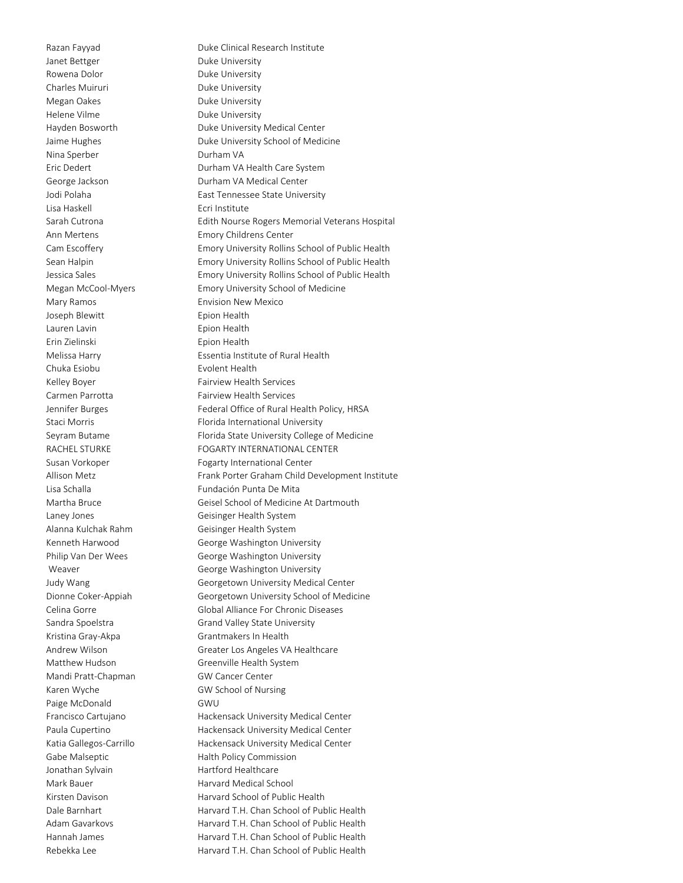Janet Bettger **Duke University** Rowena Dolor **Duke University** Charles Muiruri Duke University Megan Oakes **Duke University** Helene Vilme **Duke University** Nina Sperber **Durham VA** Lisa Haskell **Ecri Institute** Ann Mertens Emory Childrens Center Mary Ramos **Envision New Mexico** Joseph Blewitt **Epion Health** Lauren Lavin **Executed Executes** Epion Health Erin Zielinski Epion Health Chuka Esiobu **Evolent Health** Kelley Boyer **Fairview Health Services** Carmen Parrotta Fairview Health Services Alanna Kulchak Rahm Geisinger Health System Kristina Gray-Akpa<br>
Grantmakers In Health Mandi Pratt-Chapman GW Cancer Center Karen Wyche GW School of Nursing Paige McDonald GWU Jonathan Sylvain **Hartford Healthcare** Mark Bauer **Harvard Medical School** 

Razan Fayyad **Duke Clinical Research Institute** Hayden Bosworth Duke University Medical Center Jaime Hughes **Duke University School of Medicine** Eric Dedert Durham VA Health Care System George Jackson **Durham VA Medical Center** Jodi Polaha **East Tennessee State University** Sarah Cutrona Edith Nourse Rogers Memorial Veterans Hospital Cam Escoffery **Emory University Rollins School of Public Health** Sean Halpin Emory University Rollins School of Public Health Jessica Sales Emory University Rollins School of Public Health Megan McCool-Myers Emory University School of Medicine Melissa Harry **Essentia Institute of Rural Health** Jennifer Burges Federal Office of Rural Health Policy, HRSA Staci Morris **Florida International University** Seyram Butame **Florida State University College of Medicine** RACHEL STURKE FOGARTY INTERNATIONAL CENTER Susan Vorkoper Fogarty International Center Allison Metz **Frank Porter Graham Child Development Institute** Lisa Schalla Fundación Punta De Mita Martha Bruce Geisel School of Medicine At Dartmouth Laney Jones **Geisinger Health System** Kenneth Harwood George Washington University Philip Van Der Wees George Washington University Weaver **George Washington University** Judy Wang Georgetown University Medical Center Dionne Coker-Appiah Georgetown University School of Medicine Celina Gorre Global Alliance For Chronic Diseases Sandra Spoelstra Grand Valley State University Andrew Wilson Greater Los Angeles VA Healthcare Matthew Hudson Greenville Health System Francisco Cartujano **Hackensack University Medical Center** Paula Cupertino **Hackensack University Medical Center** Katia Gallegos-Carrillo Hackensack University Medical Center Gabe Malseptic **Halth Policy Commission** Kirsten Davison **Harvard School of Public Health** Dale Barnhart **Harvard T.H. Chan School of Public Health** Adam Gavarkovs **Harvard T.H. Chan School of Public Health** Hannah James Harvard T.H. Chan School of Public Health Rebekka Lee Harvard T.H. Chan School of Public Health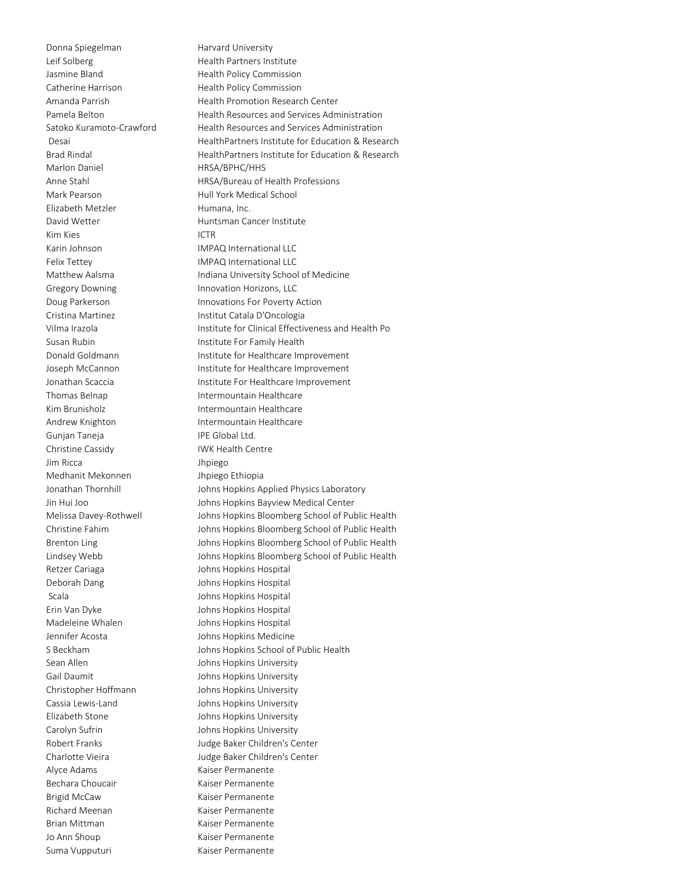Donna Spiegelman Harvard University Leif Solberg **Health Partners Institute** Jasmine Bland **Health Policy Commission** Catherine Harrison Health Policy Commission Marlon Daniel **HRSA/BPHC/HHS** Mark Pearson **Mark Pearson** Hull York Medical School Elizabeth Metzler **Humana**, Inc. David Wetter **Huntsman Cancer Institute** Kim Kies **ICTR** Karin Johnson **IMPAQ** International LLC Felix Tettey **IMPAQ International LLC** Gregory Downing **Innovation Horizons**, LLC Cristina Martinez **Institut Catala D'Oncologia** Susan Rubin **Institute For Family Health** Thomas Belnap **Intermountain Healthcare** Kim Brunisholz **Intermountain Healthcare** Andrew Knighton **Intermountain Healthcare** Gunjan Taneja **IPE Global Ltd.** Christine Cassidy IWK Health Centre Jim Ricca Jhpiego Medhanit Mekonnen Jhpiego Ethiopia Retzer Cariaga and Solomon Johns Hopkins Hospital Deborah Dang Johns Hopkins Hospital Scala **Johns Hopkins Hospital** Erin Van Dyke Johns Hopkins Hospital Madeleine Whalen Johns Hopkins Hospital Jennifer Acosta Johns Hopkins Medicine Sean Allen **Johns Hopkins University** Gail Daumit **Gail Daumit** Johns Hopkins University Christopher Hoffmann Johns Hopkins University Cassia Lewis-Land Johns Hopkins University Elizabeth Stone **In the Stone Stone Stone Stone Stone Stone Stone Stone Stone Stone Stone Stone Stone Stone Stone Stone Stone Stone Stone Stone Stone Stone Stone Stone Stone Stone Stone Stone Stone Stone Stone Stone Stone** Carolyn Sufrin **Carolyn Sufring Carolyn Sufring Carolyn Sufring Carolyn Sufring Carolyn Suffe** Alyce Adams **Kaiser Permanente** Bechara Choucair **Kaiser Permanente** Brigid McCaw Kaiser Permanente Richard Meenan Kaiser Permanente Brian Mittman Kaiser Permanente Jo Ann Shoup **Kaiser Permanente** Suma Vupputuri Kaiser Permanente

Amanda Parrish **Health Promotion Research Center** Pamela Belton Health Resources and Services Administration Satoko Kuramoto-Crawford Health Resources and Services Administration Desai **Nextitude Education Contracts** HealthPartners Institute for Education & Research Brad Rindal **HealthPartners Institute for Education & Research** Anne Stahl HRSA/Bureau of Health Professions Matthew Aalsma **Indiana University School of Medicine** Doug Parkerson **Innovations For Poverty Action** Vilma Irazola **Institute for Clinical Effectiveness and Health Po** Donald Goldmann **Institute for Healthcare Improvement** Joseph McCannon **Institute for Healthcare Improvement** Jonathan Scaccia **Institute For Healthcare Improvement** Jonathan Thornhill Johns Hopkins Applied Physics Laboratory Jin Hui Joo **Johns Hopkins Bayview Medical Center** Melissa Davey-Rothwell Johns Hopkins Bloomberg School of Public Health Christine Fahim Johns Hopkins Bloomberg School of Public Health Brenton Ling **Internal Communishers** Johns Hopkins Bloomberg School of Public Health Lindsey Webb Johns Hopkins Bloomberg School of Public Health S Beckham Johns Hopkins School of Public Health Robert Franks Judge Baker Children's Center Charlotte Vieira **Judge Baker Children's Center**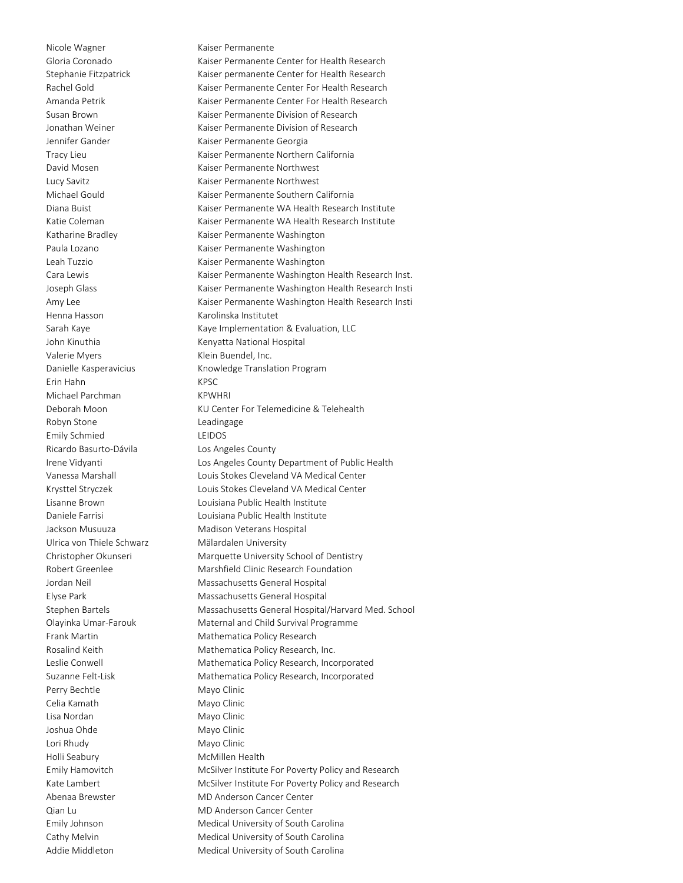Henna Hasson Karolinska Institutet Valerie Myers **Klein Buendel**, Inc. Erin Hahn KPSC Michael Parchman KPWHRI Robyn Stone **Leadingage** Emily Schmied LEIDOS Ricardo Basurto-Dávila Los Angeles County Ulrica von Thiele Schwarz Mälardalen University Perry Bechtle Mayo Clinic Celia Kamath Mayo Clinic Lisa Nordan Mayo Clinic Joshua Ohde Mayo Clinic Lori Rhudy Mayo Clinic Holli Seabury McMillen Health

Nicole Wagner **Kaiser Permanente** Gloria Coronado Kaiser Permanente Center for Health Research Stephanie Fitzpatrick Kaiser permanente Center for Health Research Rachel Gold Kaiser Permanente Center For Health Research Amanda Petrik Kaiser Permanente Center For Health Research Susan Brown Kaiser Permanente Division of Research Jonathan Weiner **Kaiser Permanente Division of Research** Jennifer Gander Kaiser Permanente Georgia Tracy Lieu Kaiser Permanente Northern California David Mosen **No. 2018** Kaiser Permanente Northwest Lucy Savitz **Kaiser Permanente Northwest** Michael Gould Kaiser Permanente Southern California Diana Buist **Kaiser Permanente WA Health Research Institute** Katie Coleman 
Kaiser Permanente WA Health Research Institute Katharine Bradley Kaiser Permanente Washington Paula Lozano **Kaiser Permanente Washington** Leah Tuzzio Kaiser Permanente Washington Cara Lewis **Kaiser Permanente Washington Health Research Inst.** Joseph Glass **Kaiser Permanente Washington Health Research Insti** Amy Lee **Kaiser Permanente Washington Health Research Insti** Sarah Kaye Maye Implementation & Evaluation, LLC John Kinuthia Kenyatta National Hospital Danielle Kasperavicius Knowledge Translation Program Deborah Moon KU Center For Telemedicine & Telehealth Irene Vidyanti Los Angeles County Department of Public Health Vanessa Marshall Louis Stokes Cleveland VA Medical Center Krysttel Stryczek Louis Stokes Cleveland VA Medical Center Lisanne Brown Louisiana Public Health Institute Daniele Farrisi Louisiana Public Health Institute Jackson Musuuza Madison Veterans Hospital Christopher Okunseri Marquette University School of Dentistry Robert Greenlee Marshfield Clinic Research Foundation Jordan Neil Massachusetts General Hospital Elyse Park Massachusetts General Hospital Stephen Bartels Massachusetts General Hospital/Harvard Med. School Olayinka Umar-Farouk Maternal and Child Survival Programme Frank Martin Mathematica Policy Research Rosalind Keith Mathematica Policy Research, Inc. Leslie Conwell **Mathematica Policy Research, Incorporated** Suzanne Felt-Lisk Mathematica Policy Research, Incorporated Emily Hamovitch McSilver Institute For Poverty Policy and Research Kate Lambert McSilver Institute For Poverty Policy and Research Abenaa Brewster MD Anderson Cancer Center Qian Lu MD Anderson Cancer Center Emily Johnson Medical University of South Carolina Cathy Melvin Medical University of South Carolina Addie Middleton Medical University of South Carolina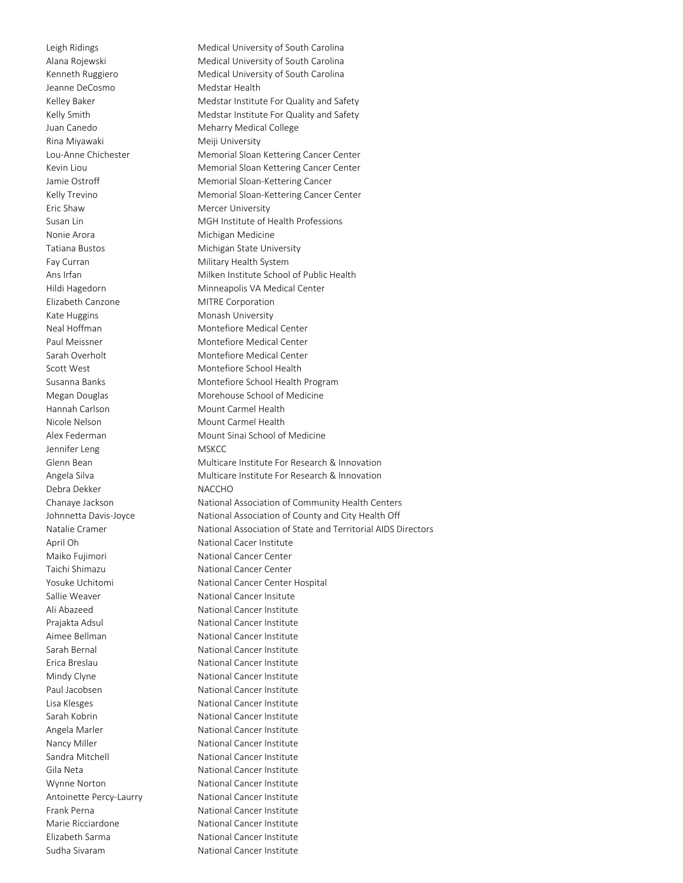Jeanne DeCosmo<br>
Medstar Health Rina Miyawaki **Melikuwa** Meiji University Eric Shaw Mercer University Nonie Arora **Michigan Medicine** Fay Curran Military Health System Elizabeth Canzone MITRE Corporation Kate Huggins **Monash University** Hannah Carlson Mount Carmel Health Nicole Nelson **Mount Carmel Health** Jennifer Leng MSKCC Debra Dekker NACCHO Elizabeth Sarma National Cancer Institute Sudha Sivaram National Cancer Institute

Leigh Ridings **Medical University of South Carolina** Alana Rojewski Medical University of South Carolina Kenneth Ruggiero **Medical University of South Carolina** Kelley Baker Medstar Institute For Quality and Safety Kelly Smith Medstar Institute For Quality and Safety Juan Canedo **Meharry Medical College** Lou-Anne Chichester Memorial Sloan Kettering Cancer Center Kevin Liou **Memorial Sloan Kettering Cancer Center** Jamie Ostroff **Memorial Sloan-Kettering Cancer** Kelly Trevino **Memorial Sloan-Kettering Cancer Center** Susan Lin MGH Institute of Health Professions Tatiana Bustos **Michigan State University** Ans Irfan Milken Institute School of Public Health Hildi Hagedorn Minneapolis VA Medical Center Neal Hoffman Montefiore Medical Center Paul Meissner Montefiore Medical Center Sarah Overholt Montefiore Medical Center Scott West Montefiore School Health Susanna Banks Montefiore School Health Program Megan Douglas Morehouse School of Medicine Alex Federman Mount Sinai School of Medicine Glenn Bean Multicare Institute For Research & Innovation Angela Silva **Multicare Institute For Research & Innovation** Chanaye Jackson National Association of Community Health Centers Johnnetta Davis-Joyce National Association of County and City Health Off Natalie Cramer National Association of State and Territorial AIDS Directors April Oh National Cacer Institute Maiko Fujimori **National Cancer Center** Taichi Shimazu **National Cancer Center** Yosuke Uchitomi National Cancer Center Hospital Sallie Weaver National Cancer Insitute Ali Abazeed National Cancer Institute Prajakta Adsul National Cancer Institute Aimee Bellman National Cancer Institute Sarah Bernal National Cancer Institute Erica Breslau National Cancer Institute Mindy Clyne National Cancer Institute Paul Jacobsen National Cancer Institute Lisa Klesges National Cancer Institute Sarah Kobrin National Cancer Institute Angela Marler National Cancer Institute Nancy Miller National Cancer Institute Sandra Mitchell **National Cancer Institute** Gila Neta National Cancer Institute Wynne Norton National Cancer Institute Antoinette Percy-Laurry Mational Cancer Institute Frank Perna **National Cancer Institute** Marie Ricciardone National Cancer Institute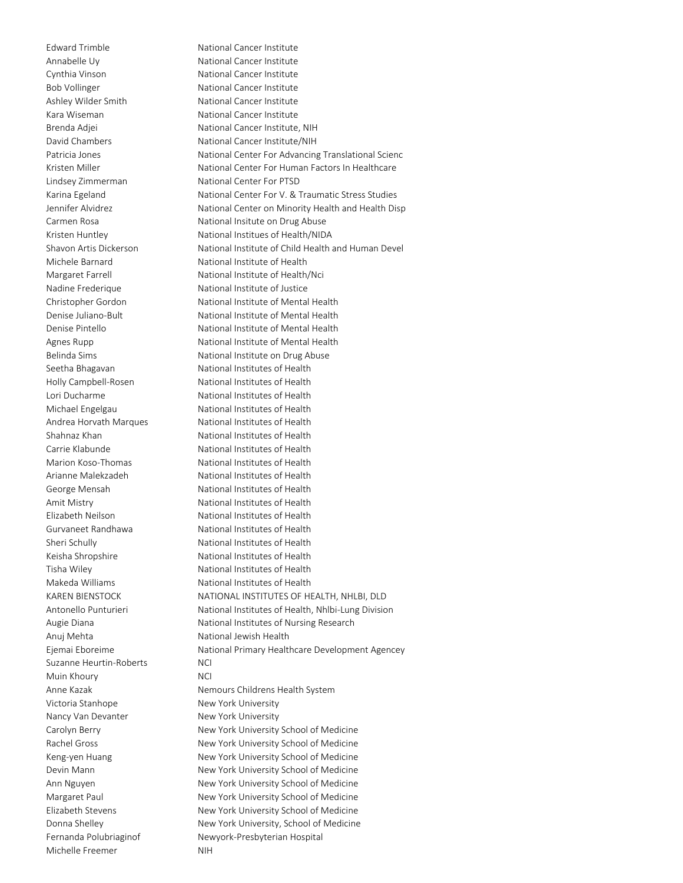Annabelle Uy National Cancer Institute Cynthia Vinson National Cancer Institute Bob Vollinger **National Cancer Institute** Ashley Wilder Smith National Cancer Institute Kara Wiseman National Cancer Institute Lindsey Zimmerman National Center For PTSD Anuj Mehta National Jewish Health Suzanne Heurtin-Roberts MCI Muin Khoury **NCI** Victoria Stanhope New York University Nancy Van Devanter New York University Michelle Freemer NIH

Edward Trimble **National Cancer Institute** Brenda Adjei National Cancer Institute, NIH David Chambers National Cancer Institute/NIH Patricia Jones National Center For Advancing Translational Scienc Kristen Miller National Center For Human Factors In Healthcare Karina Egeland **National Center For V. & Traumatic Stress Studies** Jennifer Alvidrez National Center on Minority Health and Health Disp Carmen Rosa National Insitute on Drug Abuse Kristen Huntley **National Institues of Health/NIDA** Shavon Artis Dickerson National Institute of Child Health and Human Devel Michele Barnard National Institute of Health Margaret Farrell Mational Institute of Health/Nci Nadine Frederique National Institute of Justice Christopher Gordon National Institute of Mental Health Denise Juliano-Bult National Institute of Mental Health Denise Pintello National Institute of Mental Health Agnes Rupp **National Institute of Mental Health** Belinda Sims **National Institute on Drug Abuse** Seetha Bhagavan National Institutes of Health Holly Campbell-Rosen National Institutes of Health Lori Ducharme National Institutes of Health Michael Engelgau National Institutes of Health Andrea Horvath Marques National Institutes of Health Shahnaz Khan National Institutes of Health Carrie Klabunde National Institutes of Health Marion Koso-Thomas National Institutes of Health Arianne Malekzadeh National Institutes of Health George Mensah National Institutes of Health Amit Mistry **National Institutes of Health** Elizabeth Neilson National Institutes of Health Gurvaneet Randhawa National Institutes of Health Sheri Schully **National Institutes of Health** Keisha Shropshire National Institutes of Health Tisha Wiley **National Institutes of Health** Makeda Williams National Institutes of Health KAREN BIENSTOCK NATIONAL INSTITUTES OF HEALTH, NHLBI, DLD Antonello Punturieri National Institutes of Health, Nhlbi-Lung Division Augie Diana National Institutes of Nursing Research Ejemai Eboreime National Primary Healthcare Development Agencey Anne Kazak Nemours Childrens Health System Carolyn Berry **New York University School of Medicine** Rachel Gross New York University School of Medicine Keng-yen Huang New York University School of Medicine Devin Mann New York University School of Medicine Ann Nguyen New York University School of Medicine Margaret Paul New York University School of Medicine Elizabeth Stevens New York University School of Medicine Donna Shelley New York University, School of Medicine Fernanda Polubriaginof Newyork-Presbyterian Hospital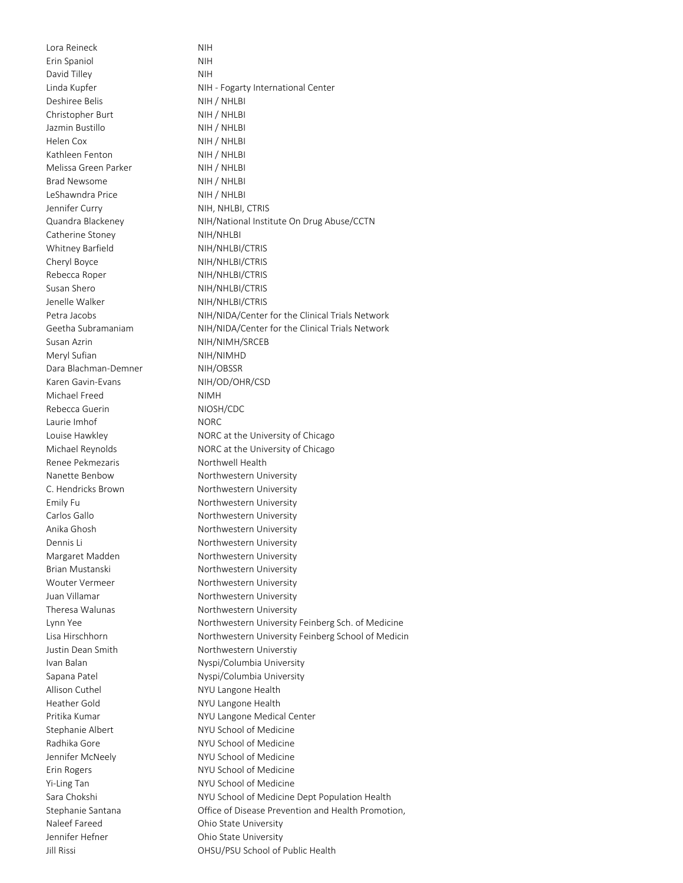Lora Reineck NIH Erin Spaniol NIH David Tilley NIH Deshiree Belis NIH / NHLBI Christopher Burt NIH / NHLBI Jazmin Bustillo NIH / NHLBI Helen Cox NIH / NHLBI Kathleen Fenton NIH / NHLBI Melissa Green Parker NIH / NHLBI Brad Newsome NIH / NHLBI LeShawndra Price NIH / NHLBI Jennifer Curry NIH, NHLBI, CTRIS Catherine Stoney NIH/NHLBI Whitney Barfield NIH/NHLBI/CTRIS Cheryl Boyce NIH/NHLBI/CTRIS Rebecca Roper NIH/NHLBI/CTRIS Susan Shero NIH/NHLBI/CTRIS Jenelle Walker NIH/NHLBI/CTRIS Susan Azrin NIH/NIMH/SRCEB Meryl Sufian NIH/NIMHD Dara Blachman-Demner NIH/OBSSR Karen Gavin-Evans NIH/OD/OHR/CSD Michael Freed NIMH Rebecca Guerin NIOSH/CDC Laurie Imhof NORC Renee Pekmezaris Northwell Health Allison Cuthel **NYU** Langone Health Heather Gold NYU Langone Health Naleef Fareed **Ohio State University** Jennifer Hefner **Communist Child** Chio State University

Linda Kupfer **NIH - Fogarty International Center** Quandra Blackeney NIH/National Institute On Drug Abuse/CCTN Petra Jacobs NIH/NIDA/Center for the Clinical Trials Network Geetha Subramaniam NIH/NIDA/Center for the Clinical Trials Network Louise Hawkley **NORC** at the University of Chicago Michael Reynolds NORC at the University of Chicago Nanette Benbow Northwestern University C. Hendricks Brown Northwestern University Emily Fu **Northwestern University** Carlos Gallo **Northwestern University** Anika Ghosh Northwestern University Dennis Li<br>
Northwestern University Margaret Madden Northwestern University Brian Mustanski Northwestern University Wouter Vermeer Northwestern University Juan Villamar Northwestern University Theresa Walunas Northwestern University Lynn Yee Northwestern University Feinberg Sch. of Medicine Lisa Hirschhorn **Northwestern University Feinberg School of Medicin** Justin Dean Smith Northwestern Universtiy Ivan Balan Nyspi/Columbia University Sapana Patel **Nyspi/Columbia University** Pritika Kumar NYU Langone Medical Center Stephanie Albert NYU School of Medicine Radhika Gore NYU School of Medicine Jennifer McNeely NYU School of Medicine Erin Rogers NYU School of Medicine Yi-Ling Tan NYU School of Medicine Sara Chokshi **NYU School of Medicine Dept Population Health** Stephanie Santana Office of Disease Prevention and Health Promotion, Jill Rissi OHSU/PSU School of Public Health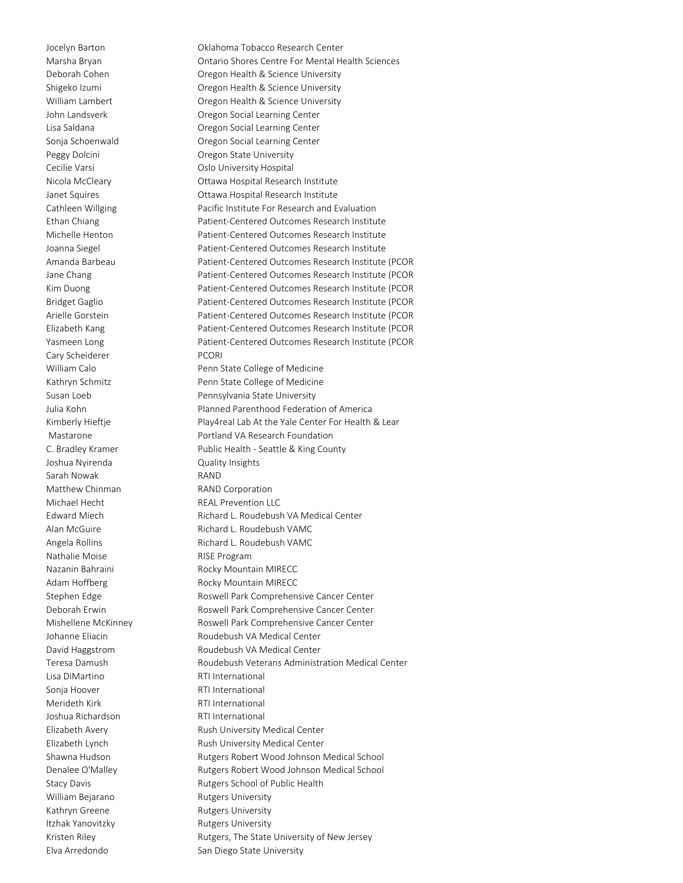Cary Scheiderer PCORI Joshua Nyirenda Quality Insights Sarah Nowak **RAND** Matthew Chinman RAND Corporation Michael Hecht REAL Prevention LLC Nathalie Moise **RISE Program** Lisa DiMartino **RTI International** Sonia Hoover **RTI International** Merideth Kirk **RTI International** Joshua Richardson RTI International William Bejarano Rutgers University Kathryn Greene Rutgers University Itzhak Yanovitzky **Rutgers University** 

Jocelyn Barton Oklahoma Tobacco Research Center Marsha Bryan Ontario Shores Centre For Mental Health Sciences Deborah Cohen **Cohen** Oregon Health & Science University Shigeko Izumi Oregon Health & Science University William Lambert **Constructs** Oregon Health & Science University John Landsverk Oregon Social Learning Center Lisa Saldana Oregon Social Learning Center Sonja Schoenwald Oregon Social Learning Center Peggy Dolcini **Dregon State University** Cecilie Varsi **Cecilie Varsi Cecilie Varsi Cecilie Varsi** Cecilie Varsi Cecilie Varsi Cecilie Varsi Cecilie Vars Nicola McCleary Ottawa Hospital Research Institute Janet Squires Ottawa Hospital Research Institute Cathleen Willging **Pacific Institute For Research and Evaluation** Ethan Chiang Patient-Centered Outcomes Research Institute Michelle Henton Patient-Centered Outcomes Research Institute Joanna Siegel Patient-Centered Outcomes Research Institute Amanda Barbeau Patient-Centered Outcomes Research Institute (PCOR Jane Chang **Patient-Centered Outcomes Research Institute (PCOR** Kim Duong Patient-Centered Outcomes Research Institute (PCOR Bridget Gaglio Patient-Centered Outcomes Research Institute (PCOR Arielle Gorstein Patient-Centered Outcomes Research Institute (PCOR Elizabeth Kang Patient-Centered Outcomes Research Institute (PCOR Yasmeen Long Patient-Centered Outcomes Research Institute (PCOR William Calo **Penn State College of Medicine** Kathryn Schmitz **Penn State College of Medicine** Susan Loeb **Pennsylvania State University** Julia Kohn Planned Parenthood Federation of America Kimberly Hieftje **Play4real Lab At the Yale Center For Health & Lear** Mastarone **Mastarone** Portland VA Research Foundation C. Bradley Kramer Public Health - Seattle & King County Edward Miech Richard L. Roudebush VA Medical Center Alan McGuire **Richard L. Roudebush VAMC** Angela Rollins **Richard L. Roudebush VAMC** Nazanin Bahraini **Rocky Mountain MIRECC** Adam Hoffberg **Rocky Mountain MIRECC** Stephen Edge The Roswell Park Comprehensive Cancer Center Deborah Erwin **Erwin** Roswell Park Comprehensive Cancer Center Mishellene McKinney **Roswell Park Comprehensive Cancer Center** Johanne Eliacin Roudebush VA Medical Center David Haggstrom Roudebush VA Medical Center Teresa Damush Roudebush Veterans Administration Medical Center Elizabeth Avery **Rush University Medical Center** Elizabeth Lynch **Rush University Medical Center** Shawna Hudson Rutgers Robert Wood Johnson Medical School Denalee O'Malley **Rutgers Robert Wood Johnson Medical School** Stacy Davis **Rutgers School of Public Health** Kristen Riley **Rutgers**, The State University of New Jersey Elva Arredondo San Diego State University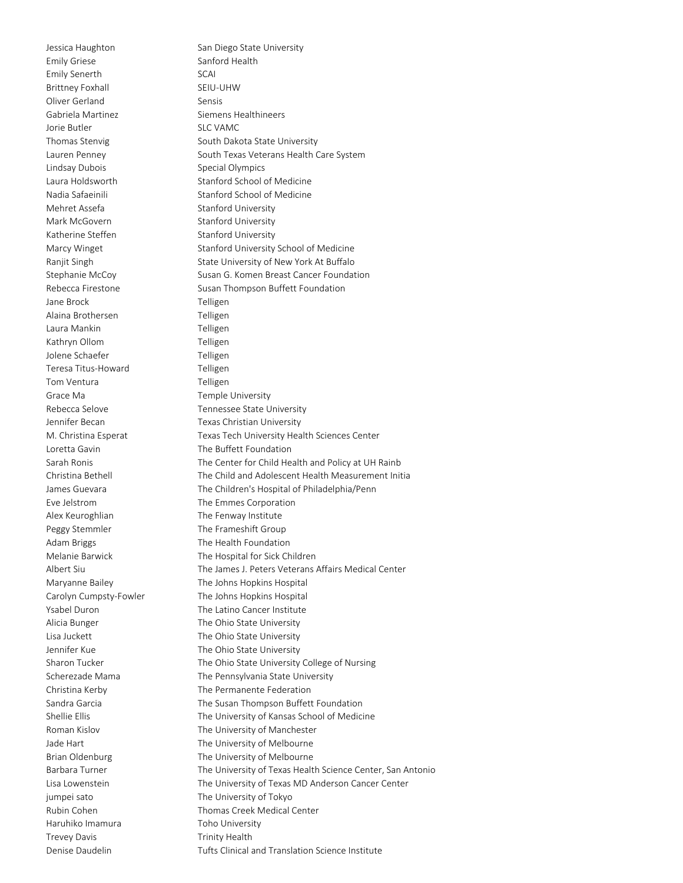Emily Griese Sanford Health Emily Senerth SCAI Brittney Foxhall SEIU-UHW Oliver Gerland Sensis Gabriela Martinez **Siemens Healthineers** Jorie Butler SLC VAMC Lindsay Dubois Special Olympics Mehret Assefa Stanford University Mark McGovern Stanford University Katherine Steffen Stanford University Jane Brock Telligen Alaina Brothersen Telligen Laura Mankin **Telligen** Kathryn Ollom Telligen Jolene Schaefer Telligen Teresa Titus-Howard Telligen Tom Ventura **Telligen** Grace Ma **Temple University** Loretta Gavin **The Buffett Foundation** Alex Keuroghlian The Fenway Institute Peggy Stemmler The Frameshift Group Adam Briggs The Health Foundation jumpei sato The University of Tokyo Haruhiko Imamura Toho University Trevey Davis **Trinity Health** 

Jessica Haughton San Diego State University Thomas Stenvig South Dakota State University Lauren Penney The South Texas Veterans Health Care System Laura Holdsworth Stanford School of Medicine Nadia Safaeinili Stanford School of Medicine Marcy Winget Stanford University School of Medicine Ranjit Singh State University of New York At Buffalo Stephanie McCoy Susan G. Komen Breast Cancer Foundation Rebecca Firestone Susan Thompson Buffett Foundation Rebecca Selove Tennessee State University Jennifer Becan Texas Christian University M. Christina Esperat Texas Tech University Health Sciences Center Sarah Ronis The Center for Child Health and Policy at UH Rainb Christina Bethell The Child and Adolescent Health Measurement Initia James Guevara The Children's Hospital of Philadelphia/Penn Eve Jelstrom The Emmes Corporation Melanie Barwick The Hospital for Sick Children Albert Siu The James J. Peters Veterans Affairs Medical Center Maryanne Bailey The Johns Hopkins Hospital Carolyn Cumpsty-Fowler The Johns Hopkins Hospital Ysabel Duron The Latino Cancer Institute Alicia Bunger The Ohio State University Lisa Juckett **The Ohio State University** Jennifer Kue The Ohio State University Sharon Tucker The Ohio State University College of Nursing Scherezade Mama<br>
The Pennsylvania State University Christina Kerby The Permanente Federation Sandra Garcia The Susan Thompson Buffett Foundation Shellie Ellis The University of Kansas School of Medicine Roman Kislov **The University of Manchester** Jade Hart The University of Melbourne Brian Oldenburg The University of Melbourne Barbara Turner The University of Texas Health Science Center, San Antonio Lisa Lowenstein The University of Texas MD Anderson Cancer Center Rubin Cohen Thomas Creek Medical Center Denise Daudelin Tufts Clinical and Translation Science Institute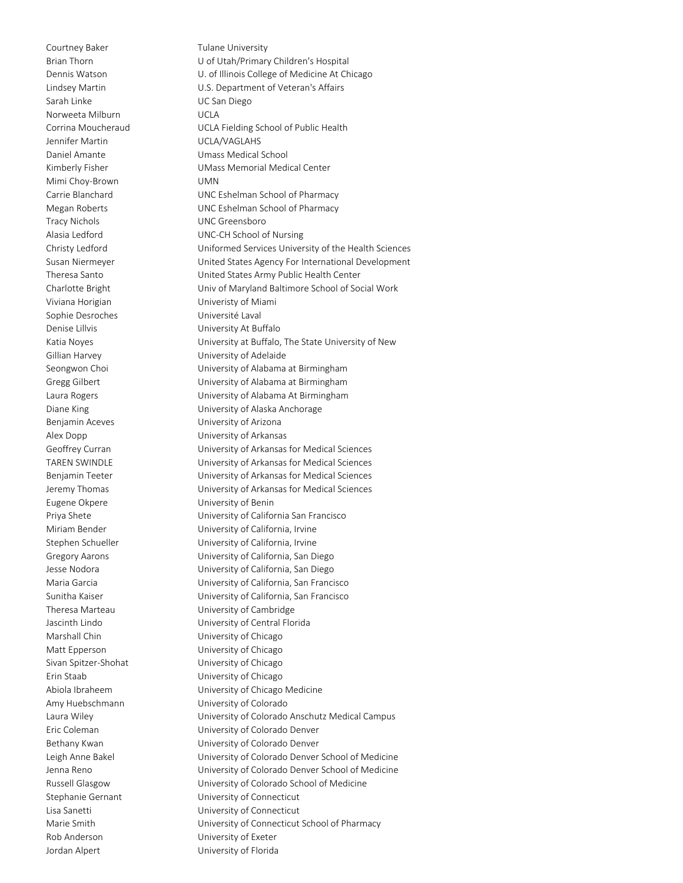Courtney Baker Tulane University Sarah Linke UC San Diego Norweeta Milburn **Norweeta** Milburn **Norwegia** Jennifer Martin UCLA/VAGLAHS Mimi Choy-Brown UMN Tracy Nichols UNC Greensboro Viviana Horigian Univeristy of Miami Sophie Desroches Université Laval Denise Lillvis **Denise Lillvis** University At Buffalo Benjamin Aceves **Exercise Sensity of Arizona** Eugene Okpere University of Benin Marshall Chin University of Chicago Matt Epperson **Matt Epperson** University of Chicago Sivan Spitzer-Shohat University of Chicago Erin Staab University of Chicago Rob Anderson University of Exeter Jordan Alpert University of Florida

Brian Thorn U of Utah/Primary Children's Hospital Dennis Watson **U. of Illinois College of Medicine At Chicago** Lindsey Martin U.S. Department of Veteran's Affairs Corrina Moucheraud UCLA Fielding School of Public Health Daniel Amante Van Mumass Medical School Kimberly Fisher UMass Memorial Medical Center Carrie Blanchard UNC Eshelman School of Pharmacy Megan Roberts UNC Eshelman School of Pharmacy Alasia Ledford UNC-CH School of Nursing Christy Ledford Uniformed Services University of the Health Sciences Susan Niermeyer United States Agency For International Development Theresa Santo United States Army Public Health Center Charlotte Bright Univ of Maryland Baltimore School of Social Work Katia Noyes University at Buffalo, The State University of New Gillian Harvey **East Communist Communist** University of Adelaide Seongwon Choi University of Alabama at Birmingham Gregg Gilbert University of Alabama at Birmingham Laura Rogers University of Alabama At Birmingham Diane King University of Alaska Anchorage Alex Dopp University of Arkansas Geoffrey Curran University of Arkansas for Medical Sciences TAREN SWINDLE University of Arkansas for Medical Sciences Benjamin Teeter **Exercise Sensity Contracts** University of Arkansas for Medical Sciences Jeremy Thomas University of Arkansas for Medical Sciences Priya Shete University of California San Francisco Miriam Bender University of California, Irvine Stephen Schueller **Vancies** University of California, Irvine Gregory Aarons University of California, San Diego Jesse Nodora University of California, San Diego Maria Garcia University of California, San Francisco Sunitha Kaiser University of California, San Francisco Theresa Marteau University of Cambridge Jascinth Lindo University of Central Florida Abiola Ibraheem University of Chicago Medicine Amy Huebschmann University of Colorado Laura Wiley University of Colorado Anschutz Medical Campus Eric Coleman University of Colorado Denver Bethany Kwan **Example 20 University of Colorado Denver** Leigh Anne Bakel University of Colorado Denver School of Medicine Jenna Reno University of Colorado Denver School of Medicine Russell Glasgow University of Colorado School of Medicine Stephanie Gernant University of Connecticut Lisa Sanetti **Lisa Sanetti University of Connecticut** Marie Smith University of Connecticut School of Pharmacy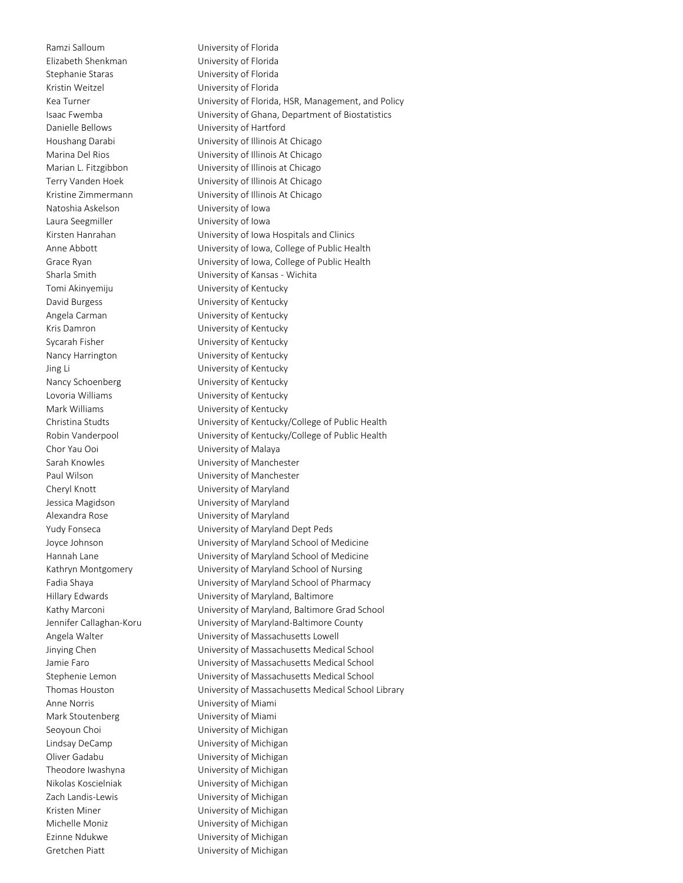Elizabeth Shenkman University of Florida Stephanie Staras University of Florida Kristin Weitzel University of Florida Danielle Bellows University of Hartford Natoshia Askelson University of Iowa Laura Seegmiller **Laura Seegmiller** University of Iowa Tomi Akinyemiju University of Kentucky David Burgess **Example 20** University of Kentucky Angela Carman University of Kentucky Kris Damron **Example 20** University of Kentucky Sycarah Fisher **University of Kentucky** Nancy Harrington University of Kentucky Jing Li University of Kentucky Nancy Schoenberg University of Kentucky Lovoria Williams University of Kentucky Mark Williams **Mark Williams** University of Kentucky Chor Yau Ooi University of Malaya Cheryl Knott University of Maryland Jessica Magidson University of Maryland Alexandra Rose **No. 1888** University of Maryland Anne Norris University of Miami Mark Stoutenberg **Mark Stoutenberg** University of Miami Seoyoun Choi **Exercise Seoyoun Choi** University of Michigan Lindsay DeCamp University of Michigan Oliver Gadabu University of Michigan Theodore Iwashyna University of Michigan Nikolas Koscielniak University of Michigan Zach Landis-Lewis University of Michigan Kristen Miner **Miner** University of Michigan Michelle Moniz **University of Michigan** Ezinne Ndukwe **University of Michigan** Gretchen Piatt University of Michigan

Ramzi Salloum University of Florida Kea Turner **Example 20 Turner Controller University of Florida, HSR, Management, and Policy** Isaac Fwemba University of Ghana, Department of Biostatistics Houshang Darabi University of Illinois At Chicago Marina Del Rios University of Illinois At Chicago Marian L. Fitzgibbon University of Illinois at Chicago Terry Vanden Hoek University of Illinois At Chicago Kristine Zimmermann University of Illinois At Chicago Kirsten Hanrahan University of Iowa Hospitals and Clinics Anne Abbott **Anne Abbott** University of Iowa, College of Public Health Grace Ryan University of Iowa, College of Public Health Sharla Smith University of Kansas - Wichita Christina Studts University of Kentucky/College of Public Health Robin Vanderpool University of Kentucky/College of Public Health Sarah Knowles University of Manchester Paul Wilson **Nation** University of Manchester Yudy Fonseca University of Maryland Dept Peds Joyce Johnson University of Maryland School of Medicine Hannah Lane University of Maryland School of Medicine Kathryn Montgomery University of Maryland School of Nursing Fadia Shaya University of Maryland School of Pharmacy Hillary Edwards University of Maryland, Baltimore Kathy Marconi University of Maryland, Baltimore Grad School Jennifer Callaghan-Koru University of Maryland-Baltimore County Angela Walter **National Exercise System** University of Massachusetts Lowell Jinying Chen University of Massachusetts Medical School Jamie Faro University of Massachusetts Medical School Stephenie Lemon University of Massachusetts Medical School Thomas Houston University of Massachusetts Medical School Library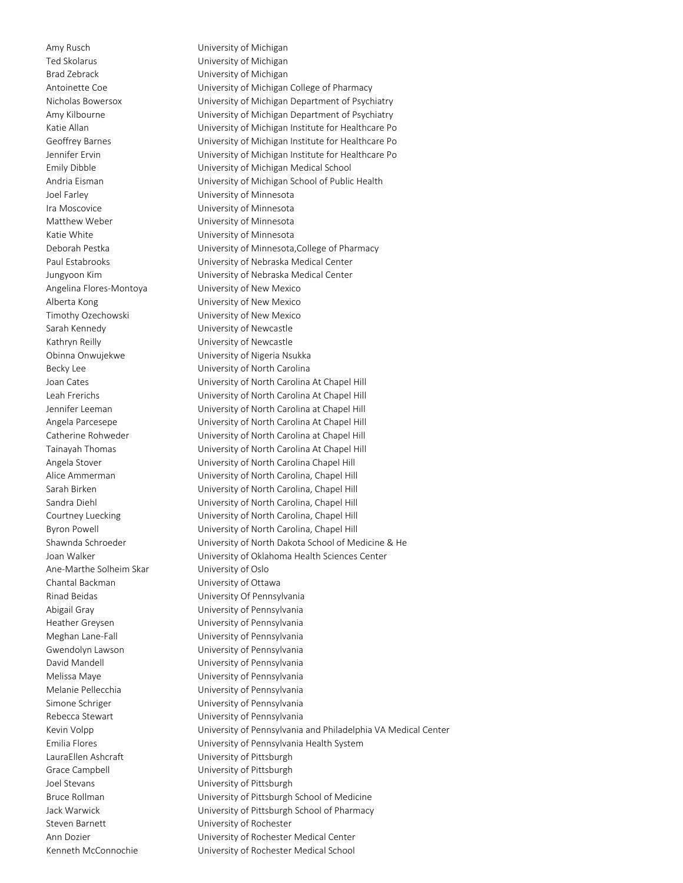Amy Rusch University of Michigan Ted Skolarus **National Skolarus** University of Michigan Brad Zebrack University of Michigan Joel Farley University of Minnesota Ira Moscovice University of Minnesota Matthew Weber University of Minnesota Katie White **White Example 20** University of Minnesota Angelina Flores-Montoya University of New Mexico Alberta Kong University of New Mexico Timothy Ozechowski University of New Mexico Sarah Kennedy University of Newcastle Kathryn Reilly **Example 20** University of Newcastle Ane-Marthe Solheim Skar University of Oslo Chantal Backman University of Ottawa Abigail Gray University of Pennsylvania Heather Greysen University of Pennsylvania Meghan Lane-Fall University of Pennsylvania Gwendolyn Lawson University of Pennsylvania David Mandell **National Communistion** University of Pennsylvania Melissa Maye University of Pennsylvania Melanie Pellecchia University of Pennsylvania Simone Schriger The University of Pennsylvania Rebecca Stewart **Vancies** University of Pennsylvania LauraEllen Ashcraft University of Pittsburgh Grace Campbell **Example 1** University of Pittsburgh Joel Stevans University of Pittsburgh Steven Barnett University of Rochester

Antoinette Coe **University of Michigan College of Pharmacy** Nicholas Bowersox University of Michigan Department of Psychiatry Amy Kilbourne **University of Michigan Department of Psychiatry** Katie Allan **Matie Allan** University of Michigan Institute for Healthcare Po Geoffrey Barnes University of Michigan Institute for Healthcare Po Jennifer Ervin University of Michigan Institute for Healthcare Po Emily Dibble University of Michigan Medical School Andria Eisman University of Michigan School of Public Health Deborah Pestka University of Minnesota,College of Pharmacy Paul Estabrooks University of Nebraska Medical Center Jungyoon Kim University of Nebraska Medical Center Obinna Onwujekwe University of Nigeria Nsukka Becky Lee **University of North Carolina** Joan Cates University of North Carolina At Chapel Hill Leah Frerichs University of North Carolina At Chapel Hill Jennifer Leeman University of North Carolina at Chapel Hill Angela Parcesepe University of North Carolina At Chapel Hill Catherine Rohweder University of North Carolina at Chapel Hill Tainayah Thomas University of North Carolina At Chapel Hill Angela Stover University of North Carolina Chapel Hill Alice Ammerman University of North Carolina, Chapel Hill Sarah Birken **Interval Communisti** University of North Carolina, Chapel Hill Sandra Diehl **Entity of North Carolina**, Chapel Hill Courtney Luecking University of North Carolina, Chapel Hill Byron Powell **Example 20** University of North Carolina, Chapel Hill Shawnda Schroeder University of North Dakota School of Medicine & He Joan Walker University of Oklahoma Health Sciences Center Rinad Beidas University Of Pennsylvania Kevin Volpp **Engles** University of Pennsylvania and Philadelphia VA Medical Center Emilia Flores University of Pennsylvania Health System Bruce Rollman University of Pittsburgh School of Medicine Jack Warwick University of Pittsburgh School of Pharmacy Ann Dozier **National Exercise State University of Rochester Medical Center** Kenneth McConnochie University of Rochester Medical School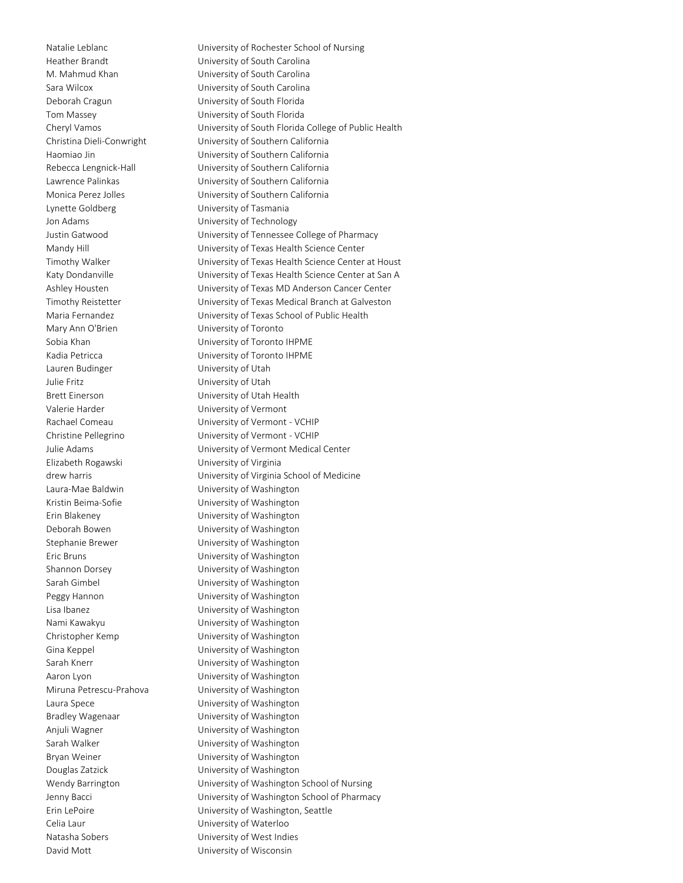Deborah Cragun University of South Florida Tom Massey University of South Florida Lynette Goldberg **Lynette Goldberg** University of Tasmania Jon Adams University of Technology Mary Ann O'Brien **Nary Ann O'Brien** University of Toronto Lauren Budinger **Lauren Budinger** University of Utah Julie Fritz University of Utah Brett Einerson University of Utah Health Valerie Harder **Valerie Harder** University of Vermont Elizabeth Rogawski University of Virginia Laura-Mae Baldwin University of Washington Kristin Beima-Sofie **Namillary Controller University of Washington** Erin Blakeney University of Washington Deborah Bowen University of Washington Stephanie Brewer University of Washington Eric Bruns University of Washington Shannon Dorsey **Example 20** University of Washington Sarah Gimbel **Example 20** University of Washington Peggy Hannon **Disk Communisty of Washington** Lisa Ibanez University of Washington Nami Kawakyu University of Washington Christopher Kemp University of Washington Gina Keppel **Contact Contact Contact Contact Contact Contact Contact Contact Contact Contact Contact Contact Contact Contact Contact Contact Contact Contact Contact Contact Contact Contact Contact Contact Contact Contact C** Sarah Knerr **National Communisties** University of Washington Aaron Lyon **Nation** University of Washington Miruna Petrescu-Prahova University of Washington Laura Spece **Laura Spece** University of Washington Bradley Wagenaar University of Washington Anjuli Wagner **National Communisties** University of Washington Sarah Walker **National Sarah Walker** University of Washington Bryan Weiner University of Washington Douglas Zatzick University of Washington Celia Laur University of Waterloo Natasha Sobers University of West Indies David Mott **David Mott** University of Wisconsin

Natalie Leblanc University of Rochester School of Nursing Heather Brandt University of South Carolina M. Mahmud Khan University of South Carolina Sara Wilcox University of South Carolina Cheryl Vamos University of South Florida College of Public Health Christina Dieli-Conwright University of Southern California Haomiao Jin University of Southern California Rebecca Lengnick-Hall University of Southern California Lawrence Palinkas University of Southern California Monica Perez Jolles University of Southern California Justin Gatwood University of Tennessee College of Pharmacy Mandy Hill Mandy Hill Controller University of Texas Health Science Center Timothy Walker University of Texas Health Science Center at Houst Katy Dondanville **National Exercity Controllers** University of Texas Health Science Center at San A Ashley Housten University of Texas MD Anderson Cancer Center Timothy Reistetter University of Texas Medical Branch at Galveston Maria Fernandez University of Texas School of Public Health Sobia Khan **Interval Communisti** University of Toronto IHPME Kadia Petricca University of Toronto IHPME Rachael Comeau **Comeau** University of Vermont - VCHIP Christine Pellegrino University of Vermont - VCHIP Julie Adams University of Vermont Medical Center drew harris University of Virginia School of Medicine Wendy Barrington University of Washington School of Nursing Jenny Bacci University of Washington School of Pharmacy Erin LePoire **Erin LePoire** University of Washington, Seattle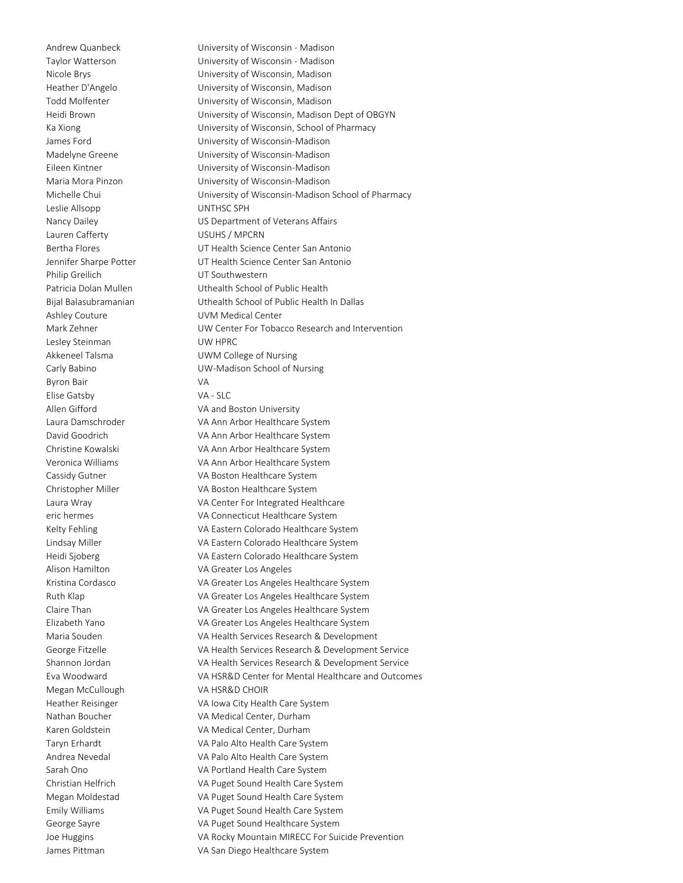Leslie Allsopp UNTHSC SPH Lauren Cafferty **Lauren Cafferty Lauren Cafferty** Philip Greilich VT Southwestern Ashley Couture **Cauca Couture** UVM Medical Center Lesley Steinman UW HPRC Byron Bair VA Elise Gatsby VA - SLC Megan McCullough VA HSR&D CHOIR

Andrew Quanbeck University of Wisconsin - Madison Taylor Watterson University of Wisconsin - Madison Nicole Brys University of Wisconsin, Madison Heather D'Angelo University of Wisconsin, Madison Todd Molfenter University of Wisconsin, Madison Heidi Brown University of Wisconsin, Madison Dept of OBGYN Ka Xiong **Example 20 Strategier University of Wisconsin**, School of Pharmacy James Ford University of Wisconsin-Madison Madelyne Greene University of Wisconsin-Madison Eileen Kintner University of Wisconsin-Madison Maria Mora Pinzon University of Wisconsin-Madison Michelle Chui University of Wisconsin-Madison School of Pharmacy Nancy Dailey **Nancy Dailey** US Department of Veterans Affairs Bertha Flores UT Health Science Center San Antonio Jennifer Sharpe Potter UT Health Science Center San Antonio Patricia Dolan Mullen **Uthealth School of Public Health** Bijal Balasubramanian Uthealth School of Public Health In Dallas Mark Zehner UW Center For Tobacco Research and Intervention Akkeneel Talsma **Internal COVID VI UWM College of Nursing** Carly Babino UW-Madison School of Nursing Allen Gifford **VA and Boston University** Laura Damschroder VA Ann Arbor Healthcare System David Goodrich VA Ann Arbor Healthcare System Christine Kowalski VA Ann Arbor Healthcare System Veronica Williams VA Ann Arbor Healthcare System Cassidy Gutner VA Boston Healthcare System Christopher Miller VA Boston Healthcare System Laura Wray VA Center For Integrated Healthcare eric hermes VA Connecticut Healthcare System Kelty Fehling The Colorado Healthcare System Lindsay Miller VA Eastern Colorado Healthcare System Heidi Sjoberg VA Eastern Colorado Healthcare System Alison Hamilton VA Greater Los Angeles Kristina Cordasco VA Greater Los Angeles Healthcare System Ruth Klap VA Greater Los Angeles Healthcare System Claire Than VA Greater Los Angeles Healthcare System Elizabeth Yano VA Greater Los Angeles Healthcare System Maria Souden VA Health Services Research & Development George Fitzelle VA Health Services Research & Development Service Shannon Jordan VA Health Services Research & Development Service Eva Woodward VA HSR&D Center for Mental Healthcare and Outcomes Heather Reisinger VA Iowa City Health Care System Nathan Boucher VA Medical Center, Durham Karen Goldstein VA Medical Center, Durham Taryn Erhardt VA Palo Alto Health Care System Andrea Nevedal VA Palo Alto Health Care System Sarah Ono VA Portland Health Care System Christian Helfrich VA Puget Sound Health Care System Megan Moldestad VA Puget Sound Health Care System Emily Williams VA Puget Sound Health Care System George Sayre VA Puget Sound Healthcare System Joe Huggins VA Rocky Mountain MIRECC For Suicide Prevention James Pittman VA San Diego Healthcare System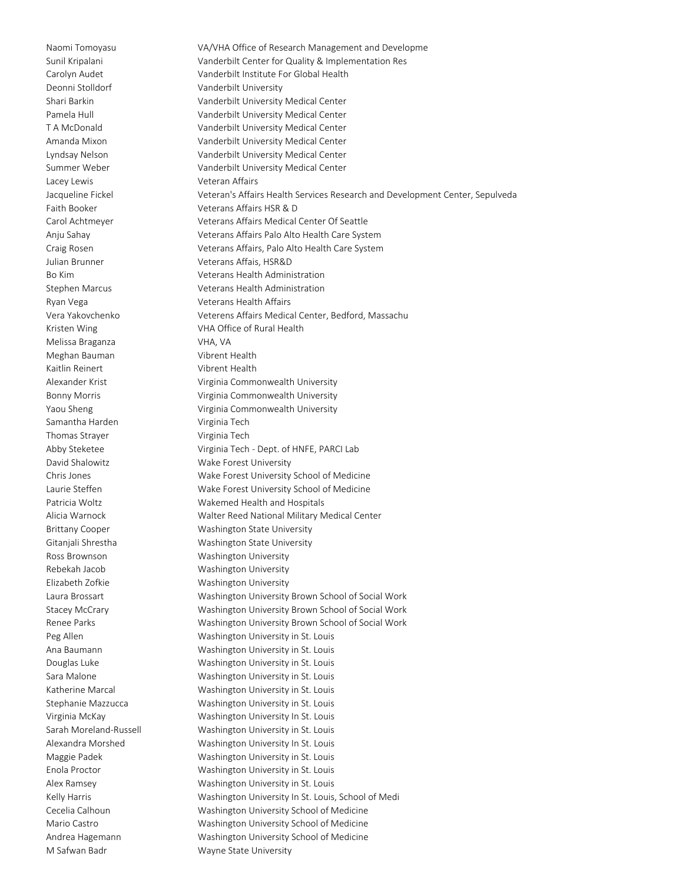Naomi Tomoyasu VA/VHA Office of Research Management and Developme Deonni Stolldorf Vanderbilt University Lacey Lewis **Veteran Affairs** Melissa Braganza VHA, VA Meghan Bauman Vibrent Health Kaitlin Reinert Vibrent Health Samantha Harden Virginia Tech Thomas Strayer Virginia Tech

Sunil Kripalani Vanderbilt Center for Quality & Implementation Res Carolyn Audet Vanderbilt Institute For Global Health Shari Barkin Vanderbilt University Medical Center Pamela Hull Vanderbilt University Medical Center T A McDonald Vanderbilt University Medical Center Amanda Mixon Vanderbilt University Medical Center Lyndsay Nelson Vanderbilt University Medical Center Summer Weber Vanderbilt University Medical Center Jacqueline Fickel Veteran's Affairs Health Services Research and Development Center, Sepulveda Faith Booker Veterans Affairs HSR & D Carol Achtmeyer Veterans Affairs Medical Center Of Seattle Anju Sahay Veterans Affairs Palo Alto Health Care System Craig Rosen Veterans Affairs, Palo Alto Health Care System Julian Brunner Veterans Affais, HSR&D Bo Kim Veterans Health Administration Stephen Marcus Veterans Health Administration Ryan Vega Veterans Health Affairs Vera Yakovchenko Veterens Affairs Medical Center, Bedford, Massachu Kristen Wing **VHA Office of Rural Health** Alexander Krist **Virginia Commonwealth University** Bonny Morris **Virginia Commonwealth University** Yaou Sheng **Virginia Commonwealth University** Abby Steketee Virginia Tech - Dept. of HNFE, PARCI Lab David Shalowitz **Wake Forest University** Chris Jones Wake Forest University School of Medicine Laurie Steffen Wake Forest University School of Medicine Patricia Woltz **Wakemed Health and Hospitals** Alicia Warnock Walter Reed National Military Medical Center Brittany Cooper Washington State University Gitanjali Shrestha Washington State University Ross Brownson Washington University Rebekah Jacob Washington University Elizabeth Zofkie Washington University Laura Brossart Washington University Brown School of Social Work Stacey McCrary Washington University Brown School of Social Work Renee Parks Washington University Brown School of Social Work Peg Allen Washington University in St. Louis Ana Baumann Washington University in St. Louis Douglas Luke Washington University in St. Louis Sara Malone Washington University in St. Louis Katherine Marcal Washington University in St. Louis Stephanie Mazzucca Washington University in St. Louis Virginia McKay Washington University In St. Louis Sarah Moreland-Russell Washington University in St. Louis Alexandra Morshed Washington University In St. Louis Maggie Padek Washington University in St. Louis Enola Proctor Washington University in St. Louis Alex Ramsey Washington University in St. Louis Kelly Harris **Washington University In St. Louis, School of Medi** Cecelia Calhoun Washington University School of Medicine Mario Castro Washington University School of Medicine Andrea Hagemann Washington University School of Medicine M Safwan Badr Wayne State University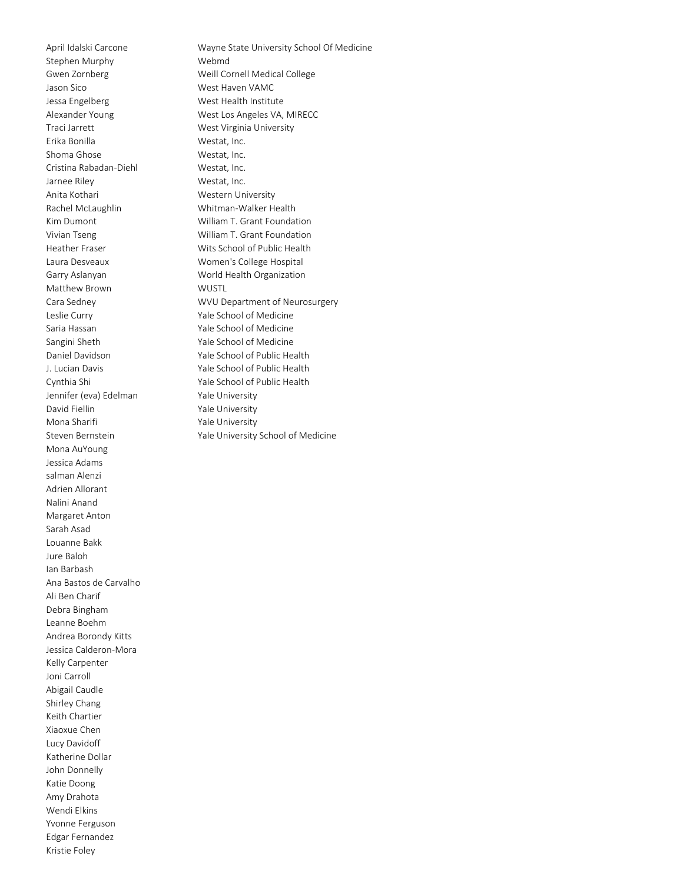Stephen Murphy Webmd Jason Sico West Haven VAMC Jessa Engelberg West Health Institute Traci Jarrett West Virginia University Erika Bonilla Westat, Inc. Shoma Ghose Westat, Inc. Cristina Rabadan-Diehl Westat, Inc. Jarnee Riley Westat, Inc. Anita Kothari **Western University** Rachel McLaughlin Whitman-Walker Health Matthew Brown WUSTL Leslie Curry Yale School of Medicine Saria Hassan Yale School of Medicine Sangini Sheth Yale School of Medicine Jennifer (eva) Edelman Yale University David Fiellin Vale University Mona Sharifi **Yale University** Steven Bernstein **Yale University School of Medicine** Mona AuYoung Jessica Adams salman Alenzi Adrien Allorant Nalini Anand Margaret Anton Sarah Asad Louanne Bakk Jure Baloh Ian Barbash Ana Bastos de Carvalho Ali Ben Charif Debra Bingham Leanne Boehm Andrea Borondy Kitts Jessica Calderon-Mora Kelly Carpenter Joni Carroll Abigail Caudle Shirley Chang Keith Chartier Xiaoxue Chen Lucy Davidoff Katherine Dollar John Donnelly Katie Doong Amy Drahota Wendi Elkins Yvonne Ferguson Edgar Fernandez Kristie Foley

April Idalski Carcone Wayne State University School Of Medicine Gwen Zornberg **Weill Cornell Medical College** Alexander Young West Los Angeles VA, MIRECC Kim Dumont William T. Grant Foundation Vivian Tseng William T. Grant Foundation Heather Fraser Wits School of Public Health Laura Desveaux Women's College Hospital Garry Aslanyan World Health Organization Cara Sedney **Cara Sedney WVU Department of Neurosurgery** Daniel Davidson Yale School of Public Health J. Lucian Davis Yale School of Public Health Cynthia Shi Yale School of Public Health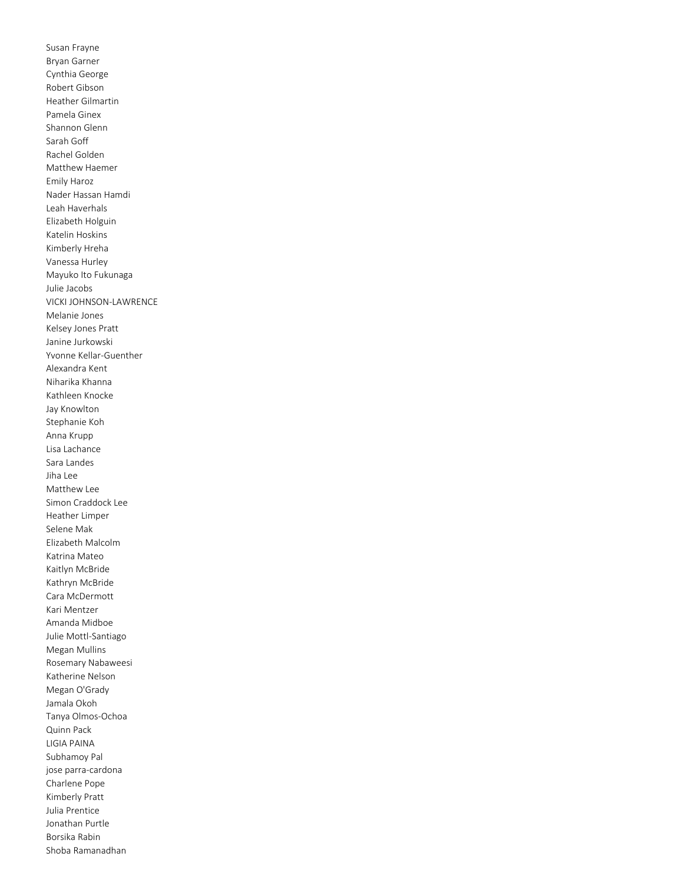Susan Frayne Bryan Garner Cynthia George Robert Gibson Heather Gilmartin Pamela Ginex Shannon Glenn Sarah Goff Rachel Golden Matthew Haemer Emily Haroz Nader Hassan Hamdi Leah Haverhals Elizabeth Holguin Katelin Hoskins Kimberly Hreha Vanessa Hurley Mayuko Ito Fukunaga Julie Jacobs VICKI JOHNSON-LAWRENCE Melanie Jones Kelsey Jones Pratt Janine Jurkowski Yvonne Kellar-Guenther Alexandra Kent Niharika Khanna Kathleen Knocke Jay Knowlton Stephanie Koh Anna Krupp Lisa Lachance Sara Landes Jiha Lee Matthew Lee Simon Craddock Lee Heather Limper Selene Mak Elizabeth Malcolm Katrina Mateo Kaitlyn McBride Kathryn McBride Cara McDermott Kari Mentzer Amanda Midboe Julie Mottl-Santiago Megan Mullins Rosemary Nabaweesi Katherine Nelson Megan O'Grady Jamala Okoh Tanya Olmos-Ochoa Quinn Pack LIGIA PAINA Subhamoy Pal jose parra-cardona Charlene Pope Kimberly Pratt Julia Prentice Jonathan Purtle Borsika Rabin Shoba Ramanadhan